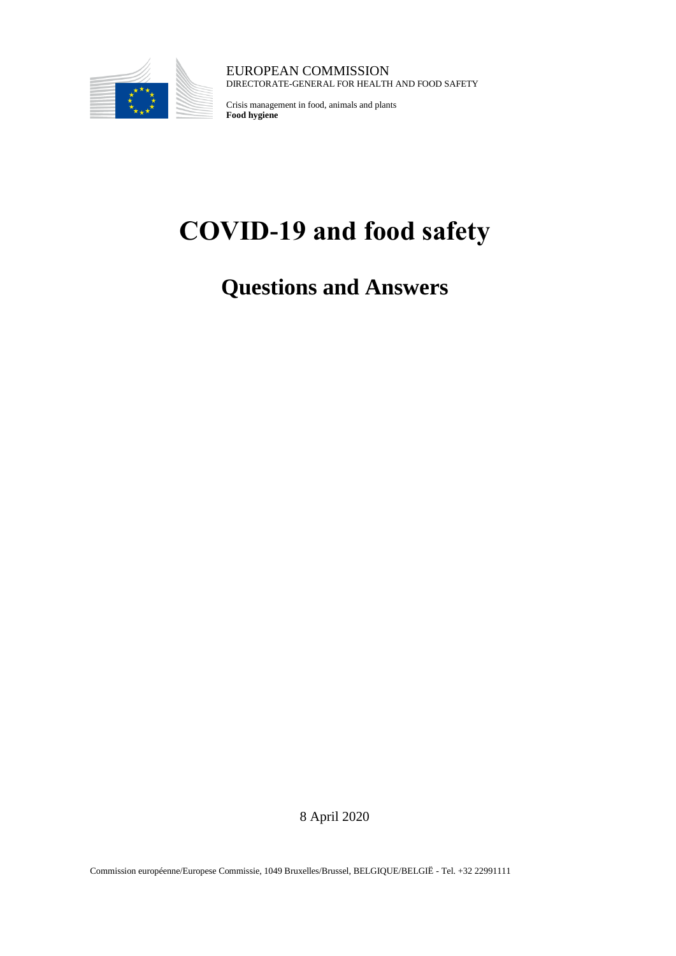

EUROPEAN COMMISSION DIRECTORATE-GENERAL FOR HEALTH AND FOOD SAFETY

Crisis management in food, animals and plants **Food hygiene**

# **COVID-19 and food safety**

**Questions and Answers**

8 April 2020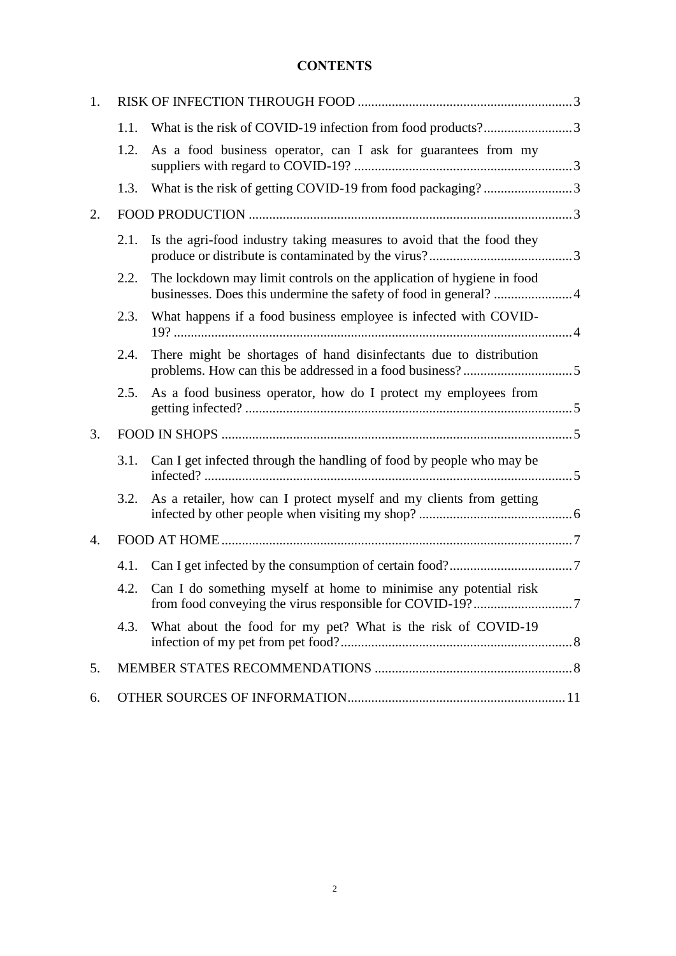# **CONTENTS**

| 1.               |      |                                                                       |  |
|------------------|------|-----------------------------------------------------------------------|--|
|                  | 1.1. |                                                                       |  |
|                  | 1.2. | As a food business operator, can I ask for guarantees from my         |  |
|                  | 1.3. |                                                                       |  |
| 2.               |      |                                                                       |  |
|                  | 2.1. | Is the agri-food industry taking measures to avoid that the food they |  |
|                  | 2.2. | The lockdown may limit controls on the application of hygiene in food |  |
|                  | 2.3. | What happens if a food business employee is infected with COVID-      |  |
|                  | 2.4. | There might be shortages of hand disinfectants due to distribution    |  |
|                  | 2.5. | As a food business operator, how do I protect my employees from       |  |
| 3.               |      |                                                                       |  |
|                  | 3.1. | Can I get infected through the handling of food by people who may be  |  |
|                  | 3.2. | As a retailer, how can I protect myself and my clients from getting   |  |
| $\overline{4}$ . |      |                                                                       |  |
|                  | 4.1. |                                                                       |  |
|                  | 4.2. | Can I do something myself at home to minimise any potential risk      |  |
|                  | 4.3. | What about the food for my pet? What is the risk of COVID-19          |  |
| 5.               |      |                                                                       |  |
| 6.               |      |                                                                       |  |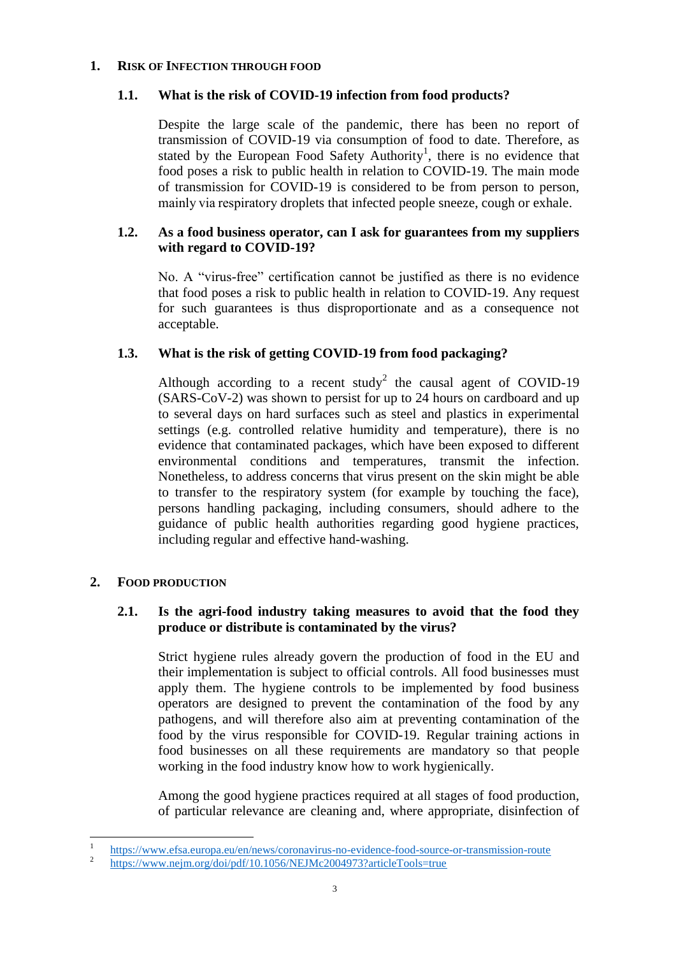# <span id="page-2-1"></span><span id="page-2-0"></span>**1. RISK OF INFECTION THROUGH FOOD**

# **1.1. What is the risk of COVID-19 infection from food products?**

Despite the large scale of the pandemic, there has been no report of transmission of COVID-19 via consumption of food to date. Therefore, as stated by the European Food Safety Authority<sup>1</sup>, there is no evidence that food poses a risk to public health in relation to COVID-19. The main mode of transmission for COVID-19 is considered to be from person to person, mainly via respiratory droplets that infected people sneeze, cough or exhale.

# <span id="page-2-2"></span>**1.2. As a food business operator, can I ask for guarantees from my suppliers with regard to COVID-19?**

No. A "virus-free" certification cannot be justified as there is no evidence that food poses a risk to public health in relation to COVID-19. Any request for such guarantees is thus disproportionate and as a consequence not acceptable.

# <span id="page-2-3"></span>**1.3. What is the risk of getting COVID-19 from food packaging?**

Although according to a recent study<sup>2</sup> the causal agent of COVID-19 (SARS-CoV-2) was shown to persist for up to 24 hours on cardboard and up to several days on hard surfaces such as steel and plastics in experimental settings (e.g. controlled relative humidity and temperature), there is no evidence that contaminated packages, which have been exposed to different environmental conditions and temperatures, transmit the infection. Nonetheless, to address concerns that virus present on the skin might be able to transfer to the respiratory system (for example by touching the face), persons handling packaging, including consumers, should adhere to the guidance of public health authorities regarding good hygiene practices, including regular and effective hand-washing.

# <span id="page-2-5"></span><span id="page-2-4"></span>**2. FOOD PRODUCTION**

# **2.1. Is the agri-food industry taking measures to avoid that the food they produce or distribute is contaminated by the virus?**

Strict hygiene rules already govern the production of food in the EU and their implementation is subject to official controls. All food businesses must apply them. The hygiene controls to be implemented by food business operators are designed to prevent the contamination of the food by any pathogens, and will therefore also aim at preventing contamination of the food by the virus responsible for COVID-19. Regular training actions in food businesses on all these requirements are mandatory so that people working in the food industry know how to work hygienically.

Among the good hygiene practices required at all stages of food production, of particular relevance are cleaning and, where appropriate, disinfection of

 $\frac{1}{1}$ <https://www.efsa.europa.eu/en/news/coronavirus-no-evidence-food-source-or-transmission-route>

 $\overline{2}$ <https://www.nejm.org/doi/pdf/10.1056/NEJMc2004973?articleTools=true>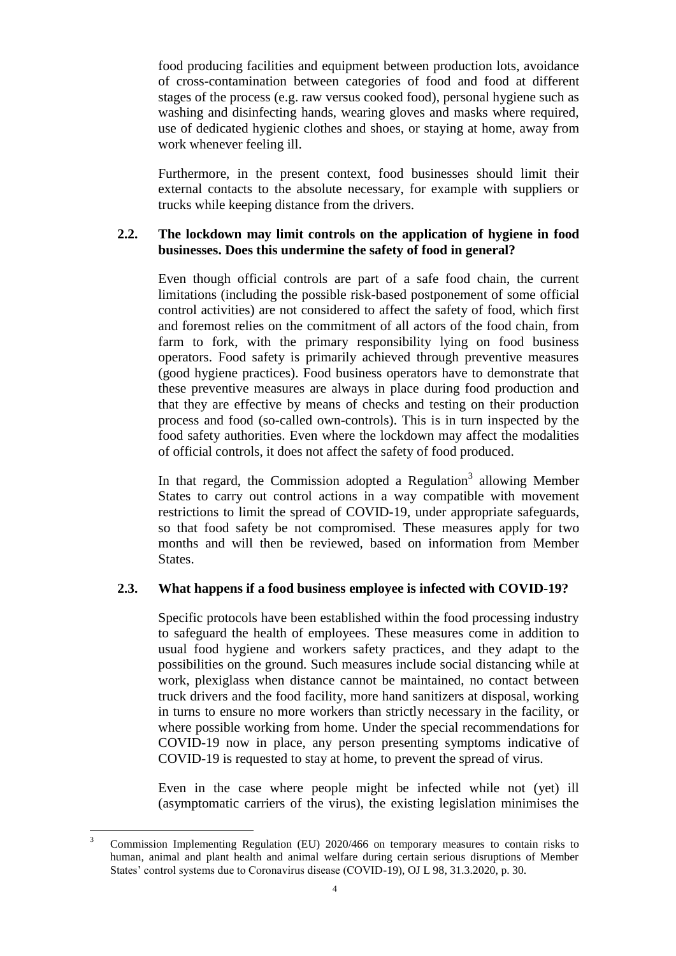food producing facilities and equipment between production lots, avoidance of cross-contamination between categories of food and food at different stages of the process (e.g. raw versus cooked food), personal hygiene such as washing and disinfecting hands, wearing gloves and masks where required, use of dedicated hygienic clothes and shoes, or staying at home, away from work whenever feeling ill.

Furthermore, in the present context, food businesses should limit their external contacts to the absolute necessary, for example with suppliers or trucks while keeping distance from the drivers.

# <span id="page-3-0"></span>**2.2. The lockdown may limit controls on the application of hygiene in food businesses. Does this undermine the safety of food in general?**

Even though official controls are part of a safe food chain, the current limitations (including the possible risk-based postponement of some official control activities) are not considered to affect the safety of food, which first and foremost relies on the commitment of all actors of the food chain, from farm to fork, with the primary responsibility lying on food business operators. Food safety is primarily achieved through preventive measures (good hygiene practices). Food business operators have to demonstrate that these preventive measures are always in place during food production and that they are effective by means of checks and testing on their production process and food (so-called own-controls). This is in turn inspected by the food safety authorities. Even where the lockdown may affect the modalities of official controls, it does not affect the safety of food produced.

In that regard, the Commission adopted a Regulation<sup>3</sup> allowing Member States to carry out control actions in a way compatible with movement restrictions to limit the spread of COVID-19, under appropriate safeguards, so that food safety be not compromised. These measures apply for two months and will then be reviewed, based on information from Member States.

# <span id="page-3-1"></span>**2.3. What happens if a food business employee is infected with COVID-19?**

Specific protocols have been established within the food processing industry to safeguard the health of employees. These measures come in addition to usual food hygiene and workers safety practices, and they adapt to the possibilities on the ground. Such measures include social distancing while at work, plexiglass when distance cannot be maintained, no contact between truck drivers and the food facility, more hand sanitizers at disposal, working in turns to ensure no more workers than strictly necessary in the facility, or where possible working from home. Under the special recommendations for COVID-19 now in place, any person presenting symptoms indicative of COVID-19 is requested to stay at home, to prevent the spread of virus.

Even in the case where people might be infected while not (yet) ill (asymptomatic carriers of the virus), the existing legislation minimises the

 $\overline{3}$ <sup>3</sup> Commission Implementing Regulation (EU) 2020/466 on temporary measures to contain risks to human, animal and plant health and animal welfare during certain serious disruptions of Member States' control systems due to Coronavirus disease (COVID-19), OJ L 98, 31.3.2020, p. 30.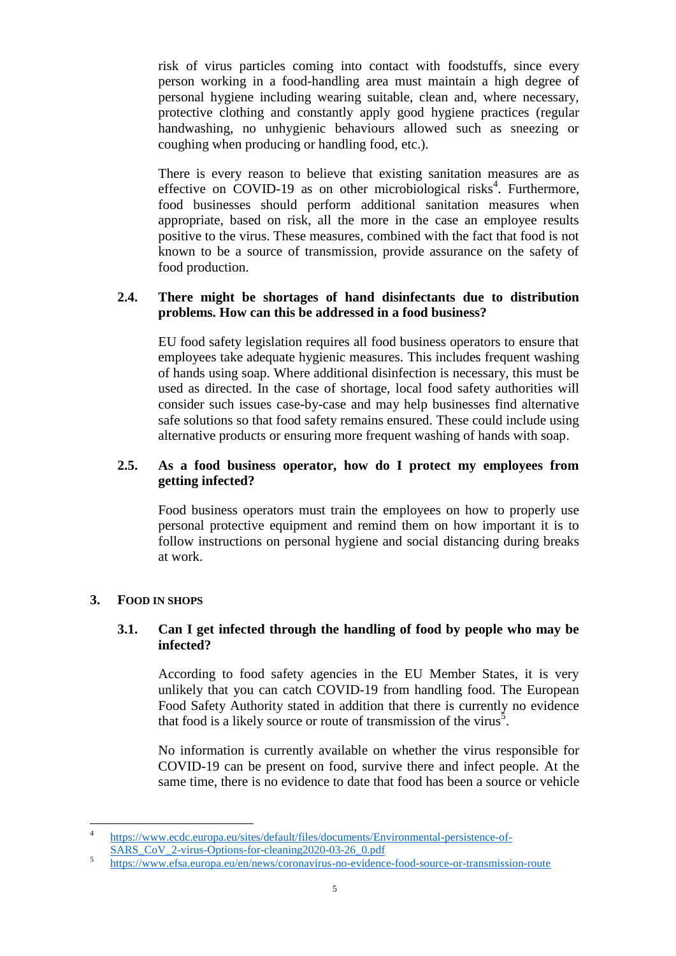risk of virus particles coming into contact with foodstuffs, since every person working in a food-handling area must maintain a high degree of personal hygiene including wearing suitable, clean and, where necessary, protective clothing and constantly apply good hygiene practices (regular handwashing, no unhygienic behaviours allowed such as sneezing or coughing when producing or handling food, etc.).

There is every reason to believe that existing sanitation measures are as effective on COVID-19 as on other microbiological risks<sup>4</sup>. Furthermore, food businesses should perform additional sanitation measures when appropriate, based on risk, all the more in the case an employee results positive to the virus. These measures, combined with the fact that food is not known to be a source of transmission, provide assurance on the safety of food production.

# <span id="page-4-0"></span>**2.4. There might be shortages of hand disinfectants due to distribution problems. How can this be addressed in a food business?**

EU food safety legislation requires all food business operators to ensure that employees take adequate hygienic measures. This includes frequent washing of hands using soap. Where additional disinfection is necessary, this must be used as directed. In the case of shortage, local food safety authorities will consider such issues case-by-case and may help businesses find alternative safe solutions so that food safety remains ensured. These could include using alternative products or ensuring more frequent washing of hands with soap.

# <span id="page-4-1"></span>**2.5. As a food business operator, how do I protect my employees from getting infected?**

Food business operators must train the employees on how to properly use personal protective equipment and remind them on how important it is to follow instructions on personal hygiene and social distancing during breaks at work.

# <span id="page-4-3"></span><span id="page-4-2"></span>**3. FOOD IN SHOPS**

# **3.1. Can I get infected through the handling of food by people who may be infected?**

According to food safety agencies in the EU Member States, it is very unlikely that you can catch COVID-19 from handling food. The European Food Safety Authority stated in addition that there is currently no evidence that food is a likely source or route of transmission of the virus<sup>5</sup>.

No information is currently available on whether the virus responsible for COVID-19 can be present on food, survive there and infect people. At the same time, there is no evidence to date that food has been a source or vehicle

 $\frac{1}{4}$ [https://www.ecdc.europa.eu/sites/default/files/documents/Environmental-persistence-of-](https://www.ecdc.europa.eu/sites/default/files/documents/Environmental-persistence-of-SARS_CoV_2-virus-Options-for-cleaning2020-03-26_0.pdf)[SARS\\_CoV\\_2-virus-Options-for-cleaning2020-03-26\\_0.pdf](https://www.ecdc.europa.eu/sites/default/files/documents/Environmental-persistence-of-SARS_CoV_2-virus-Options-for-cleaning2020-03-26_0.pdf)

<sup>5</sup> <https://www.efsa.europa.eu/en/news/coronavirus-no-evidence-food-source-or-transmission-route>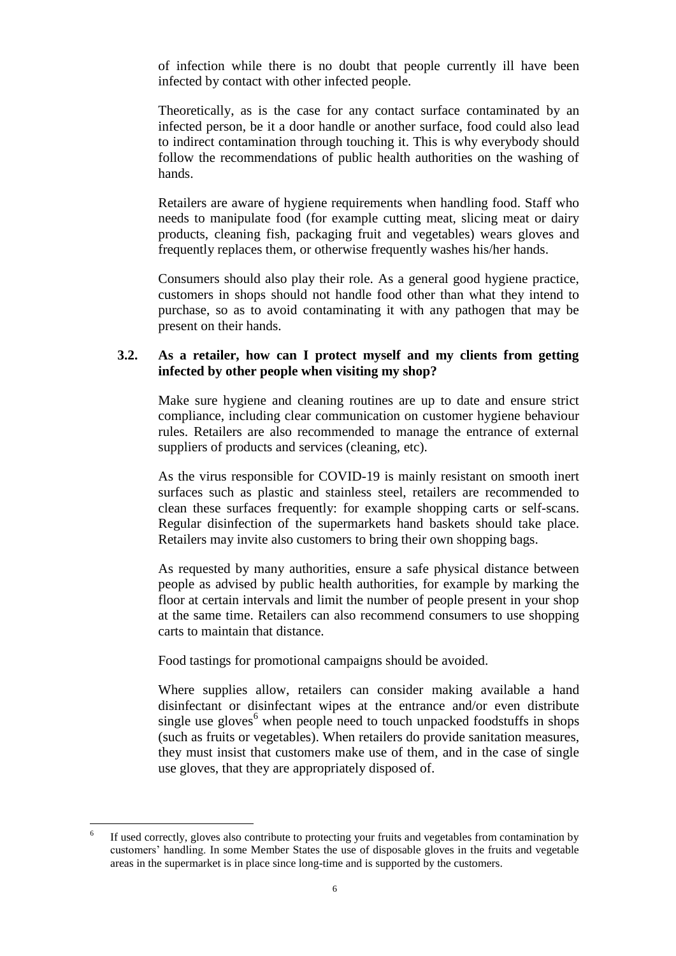of infection while there is no doubt that people currently ill have been infected by contact with other infected people.

Theoretically, as is the case for any contact surface contaminated by an infected person, be it a door handle or another surface, food could also lead to indirect contamination through touching it. This is why everybody should follow the recommendations of public health authorities on the washing of hands.

Retailers are aware of hygiene requirements when handling food. Staff who needs to manipulate food (for example cutting meat, slicing meat or dairy products, cleaning fish, packaging fruit and vegetables) wears gloves and frequently replaces them, or otherwise frequently washes his/her hands.

Consumers should also play their role. As a general good hygiene practice, customers in shops should not handle food other than what they intend to purchase, so as to avoid contaminating it with any pathogen that may be present on their hands.

# <span id="page-5-0"></span>**3.2. As a retailer, how can I protect myself and my clients from getting infected by other people when visiting my shop?**

Make sure hygiene and cleaning routines are up to date and ensure strict compliance, including clear communication on customer hygiene behaviour rules. Retailers are also recommended to manage the entrance of external suppliers of products and services (cleaning, etc).

As the virus responsible for COVID-19 is mainly resistant on smooth inert surfaces such as plastic and stainless steel, retailers are recommended to clean these surfaces frequently: for example shopping carts or self-scans. Regular disinfection of the supermarkets hand baskets should take place. Retailers may invite also customers to bring their own shopping bags.

As requested by many authorities, ensure a safe physical distance between people as advised by public health authorities, for example by marking the floor at certain intervals and limit the number of people present in your shop at the same time. Retailers can also recommend consumers to use shopping carts to maintain that distance.

Food tastings for promotional campaigns should be avoided.

Where supplies allow, retailers can consider making available a hand disinfectant or disinfectant wipes at the entrance and/or even distribute single use gloves<sup> $6$ </sup> when people need to touch unpacked foodstuffs in shops (such as fruits or vegetables). When retailers do provide sanitation measures, they must insist that customers make use of them, and in the case of single use gloves, that they are appropriately disposed of.

 $\overline{a}$ 

<sup>6</sup> If used correctly, gloves also contribute to protecting your fruits and vegetables from contamination by customers' handling. In some Member States the use of disposable gloves in the fruits and vegetable areas in the supermarket is in place since long-time and is supported by the customers.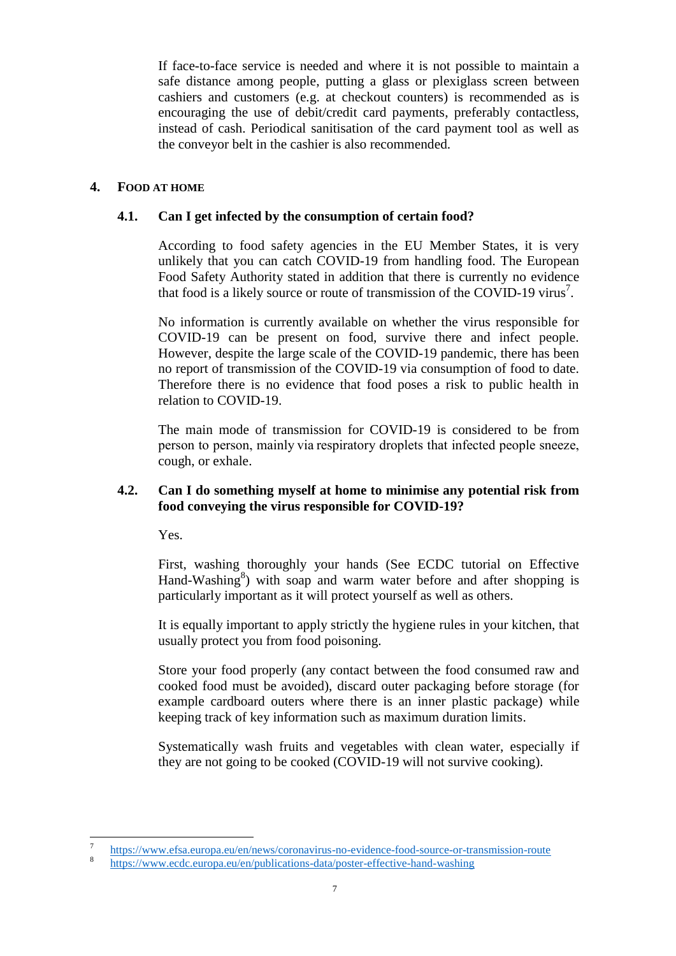If face-to-face service is needed and where it is not possible to maintain a safe distance among people, putting a glass or plexiglass screen between cashiers and customers (e.g. at checkout counters) is recommended as is encouraging the use of debit/credit card payments, preferably contactless, instead of cash. Periodical sanitisation of the card payment tool as well as the conveyor belt in the cashier is also recommended.

# <span id="page-6-1"></span><span id="page-6-0"></span>**4. FOOD AT HOME**

# **4.1. Can I get infected by the consumption of certain food?**

According to food safety agencies in the EU Member States, it is very unlikely that you can catch COVID-19 from handling food. The European Food Safety Authority stated in addition that there is currently no evidence that food is a likely source or route of transmission of the COVID-19 virus<sup>7</sup>.

No information is currently available on whether the virus responsible for COVID-19 can be present on food, survive there and infect people. However, despite the large scale of the COVID-19 pandemic, there has been no report of transmission of the COVID-19 via consumption of food to date. Therefore there is no evidence that food poses a risk to public health in relation to COVID-19.

The main mode of transmission for COVID-19 is considered to be from person to person, mainly via respiratory droplets that infected people sneeze, cough, or exhale.

# <span id="page-6-2"></span>**4.2. Can I do something myself at home to minimise any potential risk from food conveying the virus responsible for COVID-19?**

Yes.

First, washing thoroughly your hands (See ECDC tutorial on Effective Hand-Washing $\delta$ ) with soap and warm water before and after shopping is particularly important as it will protect yourself as well as others.

It is equally important to apply strictly the hygiene rules in your kitchen, that usually protect you from food poisoning.

Store your food properly (any contact between the food consumed raw and cooked food must be avoided), discard outer packaging before storage (for example cardboard outers where there is an inner plastic package) while keeping track of key information such as maximum duration limits.

Systematically wash fruits and vegetables with clean water, especially if they are not going to be cooked (COVID-19 will not survive cooking).

<sup>&</sup>lt;sup>-</sup> <https://www.efsa.europa.eu/en/news/coronavirus-no-evidence-food-source-or-transmission-route>

<sup>8</sup> <https://www.ecdc.europa.eu/en/publications-data/poster-effective-hand-washing>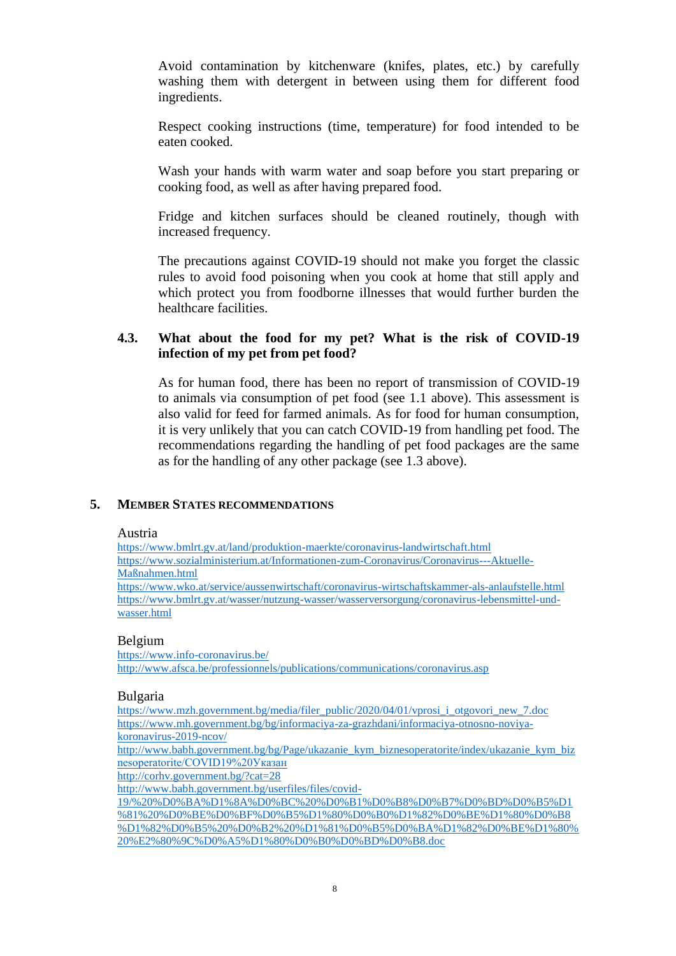Avoid contamination by kitchenware (knifes, plates, etc.) by carefully washing them with detergent in between using them for different food ingredients.

Respect cooking instructions (time, temperature) for food intended to be eaten cooked.

Wash your hands with warm water and soap before you start preparing or cooking food, as well as after having prepared food.

Fridge and kitchen surfaces should be cleaned routinely, though with increased frequency.

The precautions against COVID-19 should not make you forget the classic rules to avoid food poisoning when you cook at home that still apply and which protect you from foodborne illnesses that would further burden the healthcare facilities.

# <span id="page-7-0"></span>**4.3. What about the food for my pet? What is the risk of COVID-19 infection of my pet from pet food?**

As for human food, there has been no report of transmission of COVID-19 to animals via consumption of pet food (see 1.1 above). This assessment is also valid for feed for farmed animals. As for food for human consumption, it is very unlikely that you can catch COVID-19 from handling pet food. The recommendations regarding the handling of pet food packages are the same as for the handling of any other package (see 1.3 above).

# <span id="page-7-1"></span>**5. MEMBER STATES RECOMMENDATIONS**

#### Austria

[https://www.bmlrt.gv.at/land/produktion-maerkte/coronavirus-landwirtschaft.html](https://urldefense.com/v3/__https:/www.bmlrt.gv.at/land/produktion-maerkte/coronavirus-landwirtschaft.html__;!!DOxrgLBm!Rie6LwgA8H0PFK-HAOQtcAHvGyNF-LDEBr1-5Jq93gjpi5gcWoHggx9d_Su2NzbLZXeaubI$) [https://www.sozialministerium.at/Informationen-zum-Coronavirus/Coronavirus---Aktuelle-](https://urldefense.com/v3/__https:/www.sozialministerium.at/Informationen-zum-Coronavirus/Coronavirus---Aktuelle-Ma**Anahmen.html__;w58!!DOxrgLBm!SQCx4EqAQGgxHVDQyiCAryarFtwzn9Dt7f90IasjodcnZGp-IaW6thF3L7a-d-7QDZDcnJs$)[Maßnahmen.html](https://urldefense.com/v3/__https:/www.sozialministerium.at/Informationen-zum-Coronavirus/Coronavirus---Aktuelle-Ma**Anahmen.html__;w58!!DOxrgLBm!SQCx4EqAQGgxHVDQyiCAryarFtwzn9Dt7f90IasjodcnZGp-IaW6thF3L7a-d-7QDZDcnJs$) [https://www.wko.at/service/aussenwirtschaft/coronavirus-wirtschaftskammer-als-anlaufstelle.html](https://urldefense.com/v3/__https:/www.wko.at/service/aussenwirtschaft/coronavirus-wirtschaftskammer-als-anlaufstelle.html__;!!DOxrgLBm!SQCx4EqAQGgxHVDQyiCAryarFtwzn9Dt7f90IasjodcnZGp-IaW6thF3L7a-d-7QWrKUT3U$) [https://www.bmlrt.gv.at/wasser/nutzung-wasser/wasserversorgung/coronavirus-lebensmittel-und](https://www.bmlrt.gv.at/wasser/nutzung-wasser/wasserversorgung/coronavirus-lebensmittel-und-wasser.html)[wasser.html](https://www.bmlrt.gv.at/wasser/nutzung-wasser/wasserversorgung/coronavirus-lebensmittel-und-wasser.html)

# Belgium

[https://www.info-coronavirus.be/](https://urldefense.com/v3/__https:/www.info-coronavirus.be/__;!!DOxrgLBm!SW3rWzeXAako9DG4ubf6hxppJfkTaxNX6KmtKY5Z1nR0gPsv61jTb_2A5jiGjkQ6-0s3Kno$) <http://www.afsca.be/professionnels/publications/communications/coronavirus.asp>

#### Bulgaria

[https://www.mzh.government.bg/media/filer\\_public/2020/04/01/vprosi\\_i\\_otgovori\\_new\\_7.doc](https://urldefense.com/v3/__https:/www.mzh.government.bg/media/filer_public/2020/04/01/vprosi_i_otgovori_new_7.doc__;!!DOxrgLBm!VnhVFCJHjGa_G4jFimcYSCGs0Iush2ttE1udB9DPCOSyZTALivjOc5j9SzRd4NFiiC9s-Wg$) [https://www.mh.government.bg/bg/informaciya-za-grazhdani/informaciya-otnosno-noviya](https://urldefense.com/v3/__https:/www.mh.government.bg/bg/informaciya-za-grazhdani/informaciya-otnosno-noviya-koronavirus-2019-ncov/__;!!DOxrgLBm!VnhVFCJHjGa_G4jFimcYSCGs0Iush2ttE1udB9DPCOSyZTALivjOc5j9SzRd4NFik2h6jKE$)[koronavirus-2019-ncov/](https://urldefense.com/v3/__https:/www.mh.government.bg/bg/informaciya-za-grazhdani/informaciya-otnosno-noviya-koronavirus-2019-ncov/__;!!DOxrgLBm!VnhVFCJHjGa_G4jFimcYSCGs0Iush2ttE1udB9DPCOSyZTALivjOc5j9SzRd4NFik2h6jKE$)

[http://www.babh.government.bg/bg/Page/ukazanie\\_kym\\_biznesoperatorite/index/ukazanie\\_kym\\_biz](https://urldefense.com/v3/__http:/www.babh.government.bg/bg/Page/ukazanie_kym_biznesoperatorite/index/ukazanie_kym_biznesoperatorite/COVID19*20**K__;JdCj0LrQsNC30LDQvQ!!DOxrgLBm!VnhVFCJHjGa_G4jFimcYSCGs0Iush2ttE1udB9DPCOSyZTALivjOc5j9SzRd4NFiXj711AA$) [nesoperatorite/COVID19%20Указан](https://urldefense.com/v3/__http:/www.babh.government.bg/bg/Page/ukazanie_kym_biznesoperatorite/index/ukazanie_kym_biznesoperatorite/COVID19*20**K__;JdCj0LrQsNC30LDQvQ!!DOxrgLBm!VnhVFCJHjGa_G4jFimcYSCGs0Iush2ttE1udB9DPCOSyZTALivjOc5j9SzRd4NFiXj711AA$)

[http://corhv.government.bg/?cat=28](https://urldefense.com/v3/__http:/corhv.government.bg/?cat=28__;!!DOxrgLBm!VnhVFCJHjGa_G4jFimcYSCGs0Iush2ttE1udB9DPCOSyZTALivjOc5j9SzRd4NFiuHzNdHM$)

[http://www.babh.government.bg/userfiles/files/covid-](https://urldefense.com/v3/__http:/www.babh.government.bg/userfiles/files/covid-19/*20**F20**L20**V20**B20**L20**L.doc__;JdC60YrQvCXQsdC40LfQvdC10YEl0L7Qv9C10YDQsNGC0L7RgNC40YLQtSXQsiXRgdC10LrRgtC-0YAl4oCc0KXRgNCw0L3QuA!!DOxrgLBm!UFF-Aid1YuollGMe1nPxsbSCY4ZgAete0Y0aR4NIsWSjeWgHZEPRTpOF0MuTUkXmtHwJHx8$)

[19/%20%D0%BA%D1%8A%D0%BC%20%D0%B1%D0%B8%D0%B7%D0%BD%D0%B5%D1](https://urldefense.com/v3/__http:/www.babh.government.bg/userfiles/files/covid-19/*20**F20**L20**V20**B20**L20**L.doc__;JdC60YrQvCXQsdC40LfQvdC10YEl0L7Qv9C10YDQsNGC0L7RgNC40YLQtSXQsiXRgdC10LrRgtC-0YAl4oCc0KXRgNCw0L3QuA!!DOxrgLBm!UFF-Aid1YuollGMe1nPxsbSCY4ZgAete0Y0aR4NIsWSjeWgHZEPRTpOF0MuTUkXmtHwJHx8$) [%81%20%D0%BE%D0%BF%D0%B5%D1%80%D0%B0%D1%82%D0%BE%D1%80%D0%B8](https://urldefense.com/v3/__http:/www.babh.government.bg/userfiles/files/covid-19/*20**F20**L20**V20**B20**L20**L.doc__;JdC60YrQvCXQsdC40LfQvdC10YEl0L7Qv9C10YDQsNGC0L7RgNC40YLQtSXQsiXRgdC10LrRgtC-0YAl4oCc0KXRgNCw0L3QuA!!DOxrgLBm!UFF-Aid1YuollGMe1nPxsbSCY4ZgAete0Y0aR4NIsWSjeWgHZEPRTpOF0MuTUkXmtHwJHx8$) [%D1%82%D0%B5%20%D0%B2%20%D1%81%D0%B5%D0%BA%D1%82%D0%BE%D1%80%](https://urldefense.com/v3/__http:/www.babh.government.bg/userfiles/files/covid-19/*20**F20**L20**V20**B20**L20**L.doc__;JdC60YrQvCXQsdC40LfQvdC10YEl0L7Qv9C10YDQsNGC0L7RgNC40YLQtSXQsiXRgdC10LrRgtC-0YAl4oCc0KXRgNCw0L3QuA!!DOxrgLBm!UFF-Aid1YuollGMe1nPxsbSCY4ZgAete0Y0aR4NIsWSjeWgHZEPRTpOF0MuTUkXmtHwJHx8$) [20%E2%80%9C%D0%A5%D1%80%D0%B0%D0%BD%D0%B8.doc](https://urldefense.com/v3/__http:/www.babh.government.bg/userfiles/files/covid-19/*20**F20**L20**V20**B20**L20**L.doc__;JdC60YrQvCXQsdC40LfQvdC10YEl0L7Qv9C10YDQsNGC0L7RgNC40YLQtSXQsiXRgdC10LrRgtC-0YAl4oCc0KXRgNCw0L3QuA!!DOxrgLBm!UFF-Aid1YuollGMe1nPxsbSCY4ZgAete0Y0aR4NIsWSjeWgHZEPRTpOF0MuTUkXmtHwJHx8$)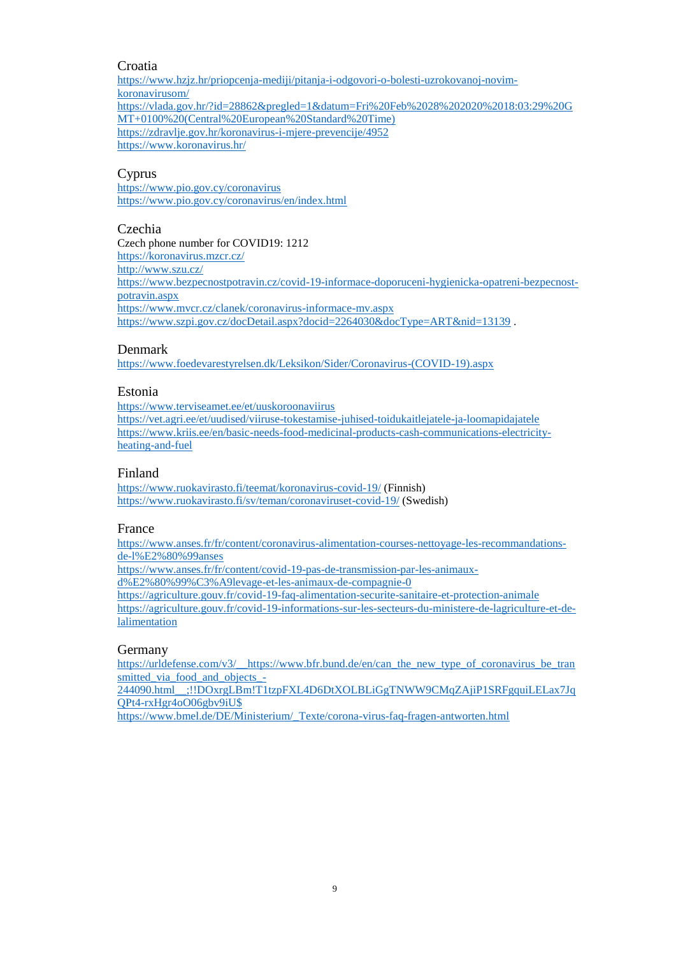# Croatia

[https://www.hzjz.hr/priopcenja-mediji/pitanja-i-odgovori-o-bolesti-uzrokovanoj-novim](https://urldefense.com/v3/__https:/www.hzjz.hr/priopcenja-mediji/pitanja-i-odgovori-o-bolesti-uzrokovanoj-novim-koronavirusom/__;!!DOxrgLBm!RhIjhcZUdbjVRuB8c5YPB-6UlvN13D7kDug7xAUgCREOz_Dd8i7AbuzVvQAG2jCpwgrXoyg$)[koronavirusom/](https://urldefense.com/v3/__https:/www.hzjz.hr/priopcenja-mediji/pitanja-i-odgovori-o-bolesti-uzrokovanoj-novim-koronavirusom/__;!!DOxrgLBm!RhIjhcZUdbjVRuB8c5YPB-6UlvN13D7kDug7xAUgCREOz_Dd8i7AbuzVvQAG2jCpwgrXoyg$) [https://vlada.gov.hr/?id=28862&pregled=1&datum=Fri%20Feb%2028%202020%2018:03:29%20G](https://urldefense.com/v3/__https:/vlada.gov.hr/?id=28862&pregled=1&datum=Fri*20Feb*2028*202020*2018:03:29*20GMT*0100*20(Central*20European*20Standard*20Time)__;JSUlJSUrJSUlJQ!!DOxrgLBm!RhIjhcZUdbjVRuB8c5YPB-6UlvN13D7kDug7xAUgCREOz_Dd8i7AbuzVvQAG2jCpyeW-tPw$) [MT+0100%20\(Central%20European%20Standard%20Time\)](https://urldefense.com/v3/__https:/vlada.gov.hr/?id=28862&pregled=1&datum=Fri*20Feb*2028*202020*2018:03:29*20GMT*0100*20(Central*20European*20Standard*20Time)__;JSUlJSUrJSUlJQ!!DOxrgLBm!RhIjhcZUdbjVRuB8c5YPB-6UlvN13D7kDug7xAUgCREOz_Dd8i7AbuzVvQAG2jCpyeW-tPw$) [https://zdravlje.gov.hr/koronavirus-i-mjere-prevencije/4952](https://urldefense.com/v3/__https:/zdravlje.gov.hr/koronavirus-i-mjere-prevencije/4952__;!!DOxrgLBm!RhIjhcZUdbjVRuB8c5YPB-6UlvN13D7kDug7xAUgCREOz_Dd8i7AbuzVvQAG2jCp6BHjXhE$) [https://www.koronavirus.hr/](https://urldefense.com/v3/__https:/www.koronavirus.hr/__;!!DOxrgLBm!RhIjhcZUdbjVRuB8c5YPB-6UlvN13D7kDug7xAUgCREOz_Dd8i7AbuzVvQAG2jCpgnPCKmk$)

# Cyprus

<https://www.pio.gov.cy/coronavirus> <https://www.pio.gov.cy/coronavirus/en/index.html>

#### Czechia

Czech phone number for COVID19: 1212 [https://koronavirus.mzcr.cz/](https://urldefense.com/v3/__https:/koronavirus.mzcr.cz/__;!!DOxrgLBm!TmgoOxoUzAJWBMjORUhninl_-FOJguLFADzGxBtSsQ2FAmLZf5T_AOoQPFmAS_9_fuKtBus$) [http://www.szu.cz/](https://urldefense.com/v3/__http:/www.szu.cz/__;!!DOxrgLBm!TmgoOxoUzAJWBMjORUhninl_-FOJguLFADzGxBtSsQ2FAmLZf5T_AOoQPFmAS_9_MbzCV1k$) [https://www.bezpecnostpotravin.cz/covid-19-informace-doporuceni-hygienicka-opatreni-bezpecnost](https://urldefense.com/v3/__https:/www.bezpecnostpotravin.cz/covid-19-informace-doporuceni-hygienicka-opatreni-bezpecnost-potravin.aspx__;!!DOxrgLBm!TmgoOxoUzAJWBMjORUhninl_-FOJguLFADzGxBtSsQ2FAmLZf5T_AOoQPFmAS_9_a8DEXcA$)[potravin.aspx](https://urldefense.com/v3/__https:/www.bezpecnostpotravin.cz/covid-19-informace-doporuceni-hygienicka-opatreni-bezpecnost-potravin.aspx__;!!DOxrgLBm!TmgoOxoUzAJWBMjORUhninl_-FOJguLFADzGxBtSsQ2FAmLZf5T_AOoQPFmAS_9_a8DEXcA$) [https://www.mvcr.cz/clanek/coronavirus-informace-mv.aspx](https://urldefense.com/v3/__https:/www.mvcr.cz/clanek/coronavirus-informace-mv.aspx__;!!DOxrgLBm!TmgoOxoUzAJWBMjORUhninl_-FOJguLFADzGxBtSsQ2FAmLZf5T_AOoQPFmAS_9_X5NpoYg$) [https://www.szpi.gov.cz/docDetail.aspx?docid=2264030&docType=ART&nid=13139](https://urldefense.com/v3/__https:/www.szpi.gov.cz/docDetail.aspx?docid=2264030&docType=ART&nid=13139__;!!DOxrgLBm!WGPldoZmlz3QeaaIO3DfXJeRD0eyT9fmBDOzUZRWtAIJKeEm_oQR6zLksc-m14cHnjVtrro$).

# Denmark

[https://www.foedevarestyrelsen.dk/Leksikon/Sider/Coronavirus-\(COVID-19\).aspx](https://urldefense.com/v3/__https:/www.foedevarestyrelsen.dk/Leksikon/Sider/Coronavirus-(COVID-19).aspx__;!!DOxrgLBm!R7nDU-usP8ecnwekJG29B8CG3CN0jBcT0uqQ-ihh9ndJdRA7ahh5fQfrKm4cYp5HbFxCqNs$)

## Estonia

[https://www.terviseamet.ee/et/uuskoroonaviirus](https://urldefense.com/v3/__https:/www.terviseamet.ee/et/uuskoroonaviirus__;!!DOxrgLBm!R3gcNOwMSU5eUtKk7g0nXS6I3wH2Jghmpln8YuLonnehdcvC43ERnoPcbdJvCCgWpSbOFlY$) [https://vet.agri.ee/et/uudised/viiruse-tokestamise-juhised-toidukaitlejatele-ja-loomapidajatele](https://urldefense.com/v3/__https:/vet.agri.ee/et/uudised/viiruse-tokestamise-juhised-toidukaitlejatele-ja-loomapidajatele__;!!DOxrgLBm!R3gcNOwMSU5eUtKk7g0nXS6I3wH2Jghmpln8YuLonnehdcvC43ERnoPcbdJvCCgWN4-NZSw$) [https://www.kriis.ee/en/basic-needs-food-medicinal-products-cash-communications-electricity](https://urldefense.com/v3/__https:/www.kriis.ee/en/basic-needs-food-medicinal-products-cash-communications-electricity-heating-and-fuel__;!!DOxrgLBm!R3gcNOwMSU5eUtKk7g0nXS6I3wH2Jghmpln8YuLonnehdcvC43ERnoPcbdJvCCgWVtNZTW0$)[heating-and-fuel](https://urldefense.com/v3/__https:/www.kriis.ee/en/basic-needs-food-medicinal-products-cash-communications-electricity-heating-and-fuel__;!!DOxrgLBm!R3gcNOwMSU5eUtKk7g0nXS6I3wH2Jghmpln8YuLonnehdcvC43ERnoPcbdJvCCgWVtNZTW0$)

## Finland

[https://www.ruokavirasto.fi/teemat/koronavirus-covid-19/](https://urldefense.com/v3/__https:/www.ruokavirasto.fi/teemat/koronavirus-covid-19/__;!!DOxrgLBm!TRkVg0J8rCZZ5NG42-YLl5Vm_I2EbvuOJQ4JWh0s50S-5gFZ_p3vrO0shEqkbTUwsclKtH8$) (Finnish) [https://www.ruokavirasto.fi/sv/teman/coronaviruset-covid-19/](https://urldefense.com/v3/__https:/www.ruokavirasto.fi/sv/teman/coronaviruset-covid-19/__;!!DOxrgLBm!TRkVg0J8rCZZ5NG42-YLl5Vm_I2EbvuOJQ4JWh0s50S-5gFZ_p3vrO0shEqkbTUwkQOCS3M$) (Swedish)

#### France

[https://www.anses.fr/fr/content/coronavirus-alimentation-courses-nettoyage-les-recommandations](https://urldefense.com/v3/__https:/www.anses.fr/fr/content/coronavirus-alimentation-courses-nettoyage-les-recommandations-de-l**Banses__;4oCZ!!DOxrgLBm!QYJBoQAX0lE980dCIVa595KH7mrmAubZenBXLB9bBqw8USLY0jRBWq21dM-pstv-q1Z12e0$)[de-l%E2%80%99anses](https://urldefense.com/v3/__https:/www.anses.fr/fr/content/coronavirus-alimentation-courses-nettoyage-les-recommandations-de-l**Banses__;4oCZ!!DOxrgLBm!QYJBoQAX0lE980dCIVa595KH7mrmAubZenBXLB9bBqw8USLY0jRBWq21dM-pstv-q1Z12e0$) [https://www.anses.fr/fr/content/covid-19-pas-de-transmission-par-les-animaux](https://www.anses.fr/fr/content/covid-19-pas-de-transmission-par-les-animaux-d%E2%80%99%C3%A9levage-et-les-animaux-de-compagnie-0)[d%E2%80%99%C3%A9levage-et-les-animaux-de-compagnie-0](https://www.anses.fr/fr/content/covid-19-pas-de-transmission-par-les-animaux-d%E2%80%99%C3%A9levage-et-les-animaux-de-compagnie-0) [https://agriculture.gouv.fr/covid-19-faq-alimentation-securite-sanitaire-et-protection-animale](https://urldefense.com/v3/__https:/agriculture.gouv.fr/covid-19-faq-alimentation-securite-sanitaire-et-protection-animale__;!!DOxrgLBm!SEv7ScHw6A6CoTO1rK7x_EoyQfpSS4RI8OwHlLYJjfBVL-hKEv0Prz513fA7Eq8QWfnqQGo$) [https://agriculture.gouv.fr/covid-19-informations-sur-les-secteurs-du-ministere-de-lagriculture-et-de](https://urldefense.com/v3/__https:/agriculture.gouv.fr/covid-19-informations-sur-les-secteurs-du-ministere-de-lagriculture-et-de-lalimentation__;!!DOxrgLBm!SEv7ScHw6A6CoTO1rK7x_EoyQfpSS4RI8OwHlLYJjfBVL-hKEv0Prz513fA7Eq8QuE-c-Bo$)[lalimentation](https://urldefense.com/v3/__https:/agriculture.gouv.fr/covid-19-informations-sur-les-secteurs-du-ministere-de-lagriculture-et-de-lalimentation__;!!DOxrgLBm!SEv7ScHw6A6CoTO1rK7x_EoyQfpSS4RI8OwHlLYJjfBVL-hKEv0Prz513fA7Eq8QuE-c-Bo$)

# Germany

[https://urldefense.com/v3/\\_\\_https://www.bfr.bund.de/en/can\\_the\\_new\\_type\\_of\\_coronavirus\\_be\\_tran](https://urldefense.com/v3/__https:/www.bfr.bund.de/en/can_the_new_type_of_coronavirus_be_transmitted_via_food_and_objects_-244090.html__;!!DOxrgLBm!T1tzpFXL4D6DtXOLBLiGgTNWW9CMqZAjiP1SRFgquiLELax7JqQPt4-rxHgr4oO06gbv9iU$) [smitted\\_via\\_food\\_and\\_objects\\_-](https://urldefense.com/v3/__https:/www.bfr.bund.de/en/can_the_new_type_of_coronavirus_be_transmitted_via_food_and_objects_-244090.html__;!!DOxrgLBm!T1tzpFXL4D6DtXOLBLiGgTNWW9CMqZAjiP1SRFgquiLELax7JqQPt4-rxHgr4oO06gbv9iU$)

[244090.html\\_\\_;!!DOxrgLBm!T1tzpFXL4D6DtXOLBLiGgTNWW9CMqZAjiP1SRFgquiLELax7Jq](https://urldefense.com/v3/__https:/www.bfr.bund.de/en/can_the_new_type_of_coronavirus_be_transmitted_via_food_and_objects_-244090.html__;!!DOxrgLBm!T1tzpFXL4D6DtXOLBLiGgTNWW9CMqZAjiP1SRFgquiLELax7JqQPt4-rxHgr4oO06gbv9iU$) [QPt4-rxHgr4oO06gbv9iU\\$](https://urldefense.com/v3/__https:/www.bfr.bund.de/en/can_the_new_type_of_coronavirus_be_transmitted_via_food_and_objects_-244090.html__;!!DOxrgLBm!T1tzpFXL4D6DtXOLBLiGgTNWW9CMqZAjiP1SRFgquiLELax7JqQPt4-rxHgr4oO06gbv9iU$)

[https://www.bmel.de/DE/Ministerium/\\_Texte/corona-virus-faq-fragen-antworten.html](https://www.bmel.de/DE/Ministerium/_Texte/corona-virus-faq-fragen-antworten.html)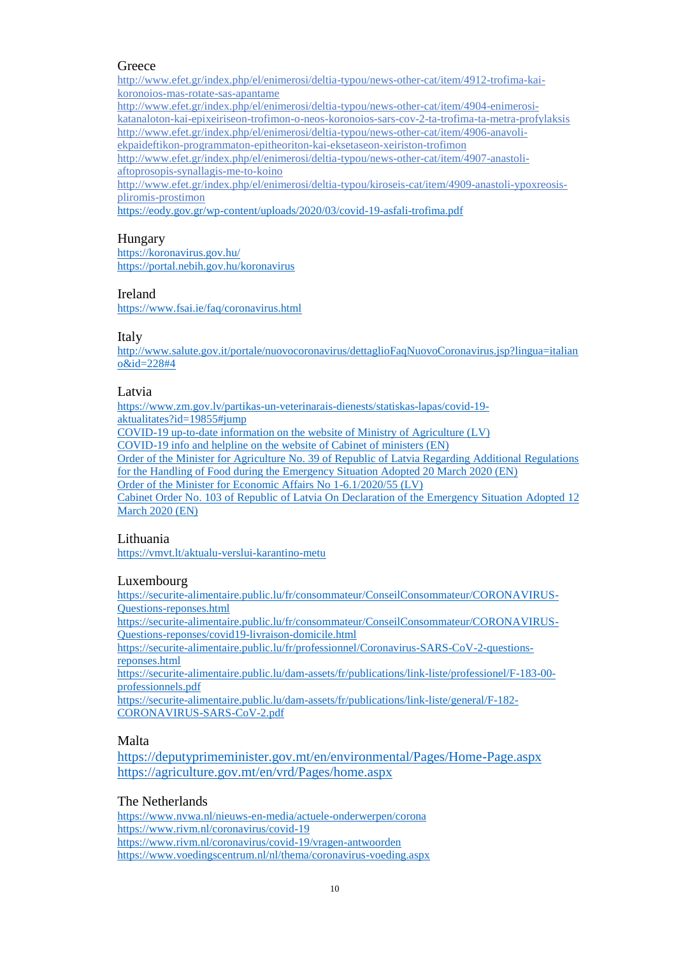## **Greece**

[http://www.efet.gr/index.php/el/enimerosi/deltia-typou/news-other-cat/item/4912-trofima-kai](https://urldefense.com/v3/__http:/www.efet.gr/index.php/el/enimerosi/deltia-typou/news-other-cat/item/4912-trofima-kai-koronoios-mas-rotate-sas-apantame__;!!DOxrgLBm!TZjyoNWGBrTbag3pCCC4t5DmPZupM-mQxFITsHOxNcUdx_kRkd03lIfgehRAsV47coCgcAU$)[koronoios-mas-rotate-sas-apantame](https://urldefense.com/v3/__http:/www.efet.gr/index.php/el/enimerosi/deltia-typou/news-other-cat/item/4912-trofima-kai-koronoios-mas-rotate-sas-apantame__;!!DOxrgLBm!TZjyoNWGBrTbag3pCCC4t5DmPZupM-mQxFITsHOxNcUdx_kRkd03lIfgehRAsV47coCgcAU$) [http://www.efet.gr/index.php/el/enimerosi/deltia-typou/news-other-cat/item/4904-enimerosi](https://urldefense.com/v3/__http:/www.efet.gr/index.php/el/enimerosi/deltia-typou/news-other-cat/item/4904-enimerosi-katanaloton-kai-epixeiriseon-trofimon-o-neos-koronoios-sars-cov-2-ta-trofima-ta-metra-profylaksis__;!!DOxrgLBm!TZjyoNWGBrTbag3pCCC4t5DmPZupM-mQxFITsHOxNcUdx_kRkd03lIfgehRAsV47wt-mx9Y$)[katanaloton-kai-epixeiriseon-trofimon-o-neos-koronoios-sars-cov-2-ta-trofima-ta-metra-profylaksis](https://urldefense.com/v3/__http:/www.efet.gr/index.php/el/enimerosi/deltia-typou/news-other-cat/item/4904-enimerosi-katanaloton-kai-epixeiriseon-trofimon-o-neos-koronoios-sars-cov-2-ta-trofima-ta-metra-profylaksis__;!!DOxrgLBm!TZjyoNWGBrTbag3pCCC4t5DmPZupM-mQxFITsHOxNcUdx_kRkd03lIfgehRAsV47wt-mx9Y$) [http://www.efet.gr/index.php/el/enimerosi/deltia-typou/news-other-cat/item/4906-anavoli](https://urldefense.com/v3/__http:/www.efet.gr/index.php/el/enimerosi/deltia-typou/news-other-cat/item/4906-anavoli-ekpaideftikon-programmaton-epitheoriton-kai-eksetaseon-xeiriston-trofimon__;!!DOxrgLBm!TZjyoNWGBrTbag3pCCC4t5DmPZupM-mQxFITsHOxNcUdx_kRkd03lIfgehRAsV47xaEiqmc$)[ekpaideftikon-programmaton-epitheoriton-kai-eksetaseon-xeiriston-trofimon](https://urldefense.com/v3/__http:/www.efet.gr/index.php/el/enimerosi/deltia-typou/news-other-cat/item/4906-anavoli-ekpaideftikon-programmaton-epitheoriton-kai-eksetaseon-xeiriston-trofimon__;!!DOxrgLBm!TZjyoNWGBrTbag3pCCC4t5DmPZupM-mQxFITsHOxNcUdx_kRkd03lIfgehRAsV47xaEiqmc$)

[http://www.efet.gr/index.php/el/enimerosi/deltia-typou/news-other-cat/item/4907-anastoli](https://urldefense.com/v3/__http:/www.efet.gr/index.php/el/enimerosi/deltia-typou/news-other-cat/item/4907-anastoli-aftoprosopis-synallagis-me-to-koino__;!!DOxrgLBm!TZjyoNWGBrTbag3pCCC4t5DmPZupM-mQxFITsHOxNcUdx_kRkd03lIfgehRAsV47KfoQ-QM$)[aftoprosopis-synallagis-me-to-koino](https://urldefense.com/v3/__http:/www.efet.gr/index.php/el/enimerosi/deltia-typou/news-other-cat/item/4907-anastoli-aftoprosopis-synallagis-me-to-koino__;!!DOxrgLBm!TZjyoNWGBrTbag3pCCC4t5DmPZupM-mQxFITsHOxNcUdx_kRkd03lIfgehRAsV47KfoQ-QM$)

[http://www.efet.gr/index.php/el/enimerosi/deltia-typou/kiroseis-cat/item/4909-anastoli-ypoxreosis](https://urldefense.com/v3/__http:/www.efet.gr/index.php/el/enimerosi/deltia-typou/kiroseis-cat/item/4909-anastoli-ypoxreosis-pliromis-prostimon__;!!DOxrgLBm!TZjyoNWGBrTbag3pCCC4t5DmPZupM-mQxFITsHOxNcUdx_kRkd03lIfgehRAsV47WKk00Bo$)[pliromis-prostimon](https://urldefense.com/v3/__http:/www.efet.gr/index.php/el/enimerosi/deltia-typou/kiroseis-cat/item/4909-anastoli-ypoxreosis-pliromis-prostimon__;!!DOxrgLBm!TZjyoNWGBrTbag3pCCC4t5DmPZupM-mQxFITsHOxNcUdx_kRkd03lIfgehRAsV47WKk00Bo$)

[https://eody.gov.gr/wp-content/uploads/2020/03/covid-19-asfali-trofima.pdf](https://urldefense.com/v3/__https:/eody.gov.gr/wp-content/uploads/2020/03/covid-19-asfali-trofima.pdf__;!!DOxrgLBm!QGmdJxN5O22wHyeA7UgA7OZ2xZlG_vM7DxdmYlhfG_jPHBRn9m7-h5feL41bfCObxkf2lS4$)

# Hungary

<https://koronavirus.gov.hu/> <https://portal.nebih.gov.hu/koronavirus>

## Ireland

<https://www.fsai.ie/faq/coronavirus.html>

#### Italy

[http://www.salute.gov.it/portale/nuovocoronavirus/dettaglioFaqNuovoCoronavirus.jsp?lingua=italian](http://www.salute.gov.it/portale/nuovocoronavirus/dettaglioFaqNuovoCoronavirus.jsp?lingua=italiano&id=228#4) [o&id=228#4](http://www.salute.gov.it/portale/nuovocoronavirus/dettaglioFaqNuovoCoronavirus.jsp?lingua=italiano&id=228#4)

## Latvia

[https://www.zm.gov.lv/partikas-un-veterinarais-dienests/statiskas-lapas/covid-19](https://www.zm.gov.lv/partikas-un-veterinarais-dienests/statiskas-lapas/covid-19-aktualitates?id=19855#jump) [aktualitates?id=19855#jump](https://www.zm.gov.lv/partikas-un-veterinarais-dienests/statiskas-lapas/covid-19-aktualitates?id=19855#jump) [COVID-19 up-to-date information on the website of Ministry of Agriculture \(LV\)](https://urldefense.com/v3/__https:/www.zm.gov.lv/zemkopibas-ministrija/statiskas-lapas/covid-19?id=19847*jump__;Iw!!DOxrgLBm!VeNni6_XB6qRioUU51WtSYFJUiP-giazo7-ZMBkcRMHhea4we54HJ1BV-Xqb_taKF81q2vM$) [COVID-19 info and helpline on the website of Cabinet of ministers \(EN\)](https://urldefense.com/v3/__https:/www.mk.gov.lv/en/content/covid-19__;!!DOxrgLBm!VeNni6_XB6qRioUU51WtSYFJUiP-giazo7-ZMBkcRMHhea4we54HJ1BV-Xqb_taKTuqGBq0$) [Order of the Minister for Agriculture No. 39 of Republic of Latvia Regarding Additional Regulations](https://urldefense.com/v3/__https:/likumi.lv/ta/en/en/id/313367-regarding-additional-regulations-for-the-handling-of-food-during-the-emergency-situation__;!!DOxrgLBm!VeNni6_XB6qRioUU51WtSYFJUiP-giazo7-ZMBkcRMHhea4we54HJ1BV-Xqb_taK5Qp-ATk$)  [for the Handling of Food during the Emergency Situation Adopted 20 March 2020 \(EN\)](https://urldefense.com/v3/__https:/likumi.lv/ta/en/en/id/313367-regarding-additional-regulations-for-the-handling-of-food-during-the-emergency-situation__;!!DOxrgLBm!VeNni6_XB6qRioUU51WtSYFJUiP-giazo7-ZMBkcRMHhea4we54HJ1BV-Xqb_taK5Qp-ATk$) [Order of the Minister for Economic Affairs No 1-6.1/2020/55 \(LV\)](https://urldefense.com/v3/__https:/likumi.lv/ta/id/313556-par-socialas-distancesanas-nodrosinasanu-sabiedriskas-edinasanas-vietas__;!!DOxrgLBm!VeNni6_XB6qRioUU51WtSYFJUiP-giazo7-ZMBkcRMHhea4we54HJ1BV-Xqb_taKc8uN8Vc$) [Cabinet Order No. 103 of Republic of Latvia On Declaration of the Emergency Situation Adopted 12](https://urldefense.com/v3/__https:/likumi.lv/ta/en/en/id/313191-on-declaration-of-the-emergency-situation__;!!DOxrgLBm!VeNni6_XB6qRioUU51WtSYFJUiP-giazo7-ZMBkcRMHhea4we54HJ1BV-Xqb_taKK9Pp16c$)  [March 2020 \(EN\)](https://urldefense.com/v3/__https:/likumi.lv/ta/en/en/id/313191-on-declaration-of-the-emergency-situation__;!!DOxrgLBm!VeNni6_XB6qRioUU51WtSYFJUiP-giazo7-ZMBkcRMHhea4we54HJ1BV-Xqb_taKK9Pp16c$)

# Lithuania

<https://vmvt.lt/aktualu-verslui-karantino-metu>

# Luxembourg

[https://securite-alimentaire.public.lu/fr/consommateur/ConseilConsommateur/CORONAVIRUS-](https://urldefense.com/v3/__https:/securite-alimentaire.public.lu/fr/consommateur/ConseilConsommateur/CORONAVIRUS-Questions-reponses.html__;!!DOxrgLBm!WA4eMfjDAbuYBE9ELfury0tP63cZqwUoOuMuG6omX7JYoamzxHeejQx6HdQiJRzKGWie1PE$)[Questions-reponses.html](https://urldefense.com/v3/__https:/securite-alimentaire.public.lu/fr/consommateur/ConseilConsommateur/CORONAVIRUS-Questions-reponses.html__;!!DOxrgLBm!WA4eMfjDAbuYBE9ELfury0tP63cZqwUoOuMuG6omX7JYoamzxHeejQx6HdQiJRzKGWie1PE$)

[https://securite-alimentaire.public.lu/fr/consommateur/ConseilConsommateur/CORONAVIRUS-](https://urldefense.com/v3/__https:/securite-alimentaire.public.lu/fr/consommateur/ConseilConsommateur/CORONAVIRUS-Questions-reponses/covid19-livraison-domicile.html__;!!DOxrgLBm!WA4eMfjDAbuYBE9ELfury0tP63cZqwUoOuMuG6omX7JYoamzxHeejQx6HdQiJRzKte0zakQ$)[Questions-reponses/covid19-livraison-domicile.html](https://urldefense.com/v3/__https:/securite-alimentaire.public.lu/fr/consommateur/ConseilConsommateur/CORONAVIRUS-Questions-reponses/covid19-livraison-domicile.html__;!!DOxrgLBm!WA4eMfjDAbuYBE9ELfury0tP63cZqwUoOuMuG6omX7JYoamzxHeejQx6HdQiJRzKte0zakQ$)

[https://securite-alimentaire.public.lu/fr/professionnel/Coronavirus-SARS-CoV-2-questions](https://urldefense.com/v3/__https:/securite-alimentaire.public.lu/fr/professionnel/Coronavirus-SARS-CoV-2-questions-reponses.html__;!!DOxrgLBm!WA4eMfjDAbuYBE9ELfury0tP63cZqwUoOuMuG6omX7JYoamzxHeejQx6HdQiJRzKT3MvhTk$)[reponses.html](https://urldefense.com/v3/__https:/securite-alimentaire.public.lu/fr/professionnel/Coronavirus-SARS-CoV-2-questions-reponses.html__;!!DOxrgLBm!WA4eMfjDAbuYBE9ELfury0tP63cZqwUoOuMuG6omX7JYoamzxHeejQx6HdQiJRzKT3MvhTk$)

[https://securite-alimentaire.public.lu/dam-assets/fr/publications/link-liste/professionel/F-183-00](https://urldefense.com/v3/__https:/securite-alimentaire.public.lu/dam-assets/fr/publications/link-liste/professionel/F-183-00-professionnels.pdf__;!!DOxrgLBm!WA4eMfjDAbuYBE9ELfury0tP63cZqwUoOuMuG6omX7JYoamzxHeejQx6HdQiJRzKE1IcgqY$) [professionnels.pdf](https://urldefense.com/v3/__https:/securite-alimentaire.public.lu/dam-assets/fr/publications/link-liste/professionel/F-183-00-professionnels.pdf__;!!DOxrgLBm!WA4eMfjDAbuYBE9ELfury0tP63cZqwUoOuMuG6omX7JYoamzxHeejQx6HdQiJRzKE1IcgqY$)

[https://securite-alimentaire.public.lu/dam-assets/fr/publications/link-liste/general/F-182-](https://urldefense.com/v3/__https:/securite-alimentaire.public.lu/dam-assets/fr/publications/link-liste/general/F-182-CORONAVIRUS-SARS-CoV-2.pdf__;!!DOxrgLBm!WA4eMfjDAbuYBE9ELfury0tP63cZqwUoOuMuG6omX7JYoamzxHeejQx6HdQiJRzK2GWLNnc$) [CORONAVIRUS-SARS-CoV-2.pdf](https://urldefense.com/v3/__https:/securite-alimentaire.public.lu/dam-assets/fr/publications/link-liste/general/F-182-CORONAVIRUS-SARS-CoV-2.pdf__;!!DOxrgLBm!WA4eMfjDAbuYBE9ELfury0tP63cZqwUoOuMuG6omX7JYoamzxHeejQx6HdQiJRzK2GWLNnc$)

# Malta

<https://deputyprimeminister.gov.mt/en/environmental/Pages/Home-Page.aspx> <https://agriculture.gov.mt/en/vrd/Pages/home.aspx>

# The Netherlands

[https://www.nvwa.nl/nieuws-en-media/actuele-onderwerpen/corona](https://urldefense.com/v3/__https:/www.nvwa.nl/nieuws-en-media/actuele-onderwerpen/corona__;!!DOxrgLBm!Th72cTZakN26Zi3LWd0XdOd4syK3E6rNYFdYzQ3huf2xfMYNA5-aa_8cMQVC-HdOsFnwsno$) [https://www.rivm.nl/coronavirus/covid-19](https://urldefense.com/v3/__https:/www.rivm.nl/coronavirus/covid-19__;!!DOxrgLBm!Th72cTZakN26Zi3LWd0XdOd4syK3E6rNYFdYzQ3huf2xfMYNA5-aa_8cMQVC-HdOdgtXlBQ$) [https://www.rivm.nl/coronavirus/covid-19/vragen-antwoorden](https://urldefense.com/v3/__https:/www.rivm.nl/coronavirus/covid-19/vragen-antwoorden__;!!DOxrgLBm!Th72cTZakN26Zi3LWd0XdOd4syK3E6rNYFdYzQ3huf2xfMYNA5-aa_8cMQVC-HdO8Ln7Gac$) [https://www.voedingscentrum.nl/nl/thema/coronavirus-voeding.aspx](https://urldefense.com/v3/__https:/www.voedingscentrum.nl/nl/thema/coronavirus-voeding.aspx__;!!DOxrgLBm!Th72cTZakN26Zi3LWd0XdOd4syK3E6rNYFdYzQ3huf2xfMYNA5-aa_8cMQVC-HdOvXT21Dc$)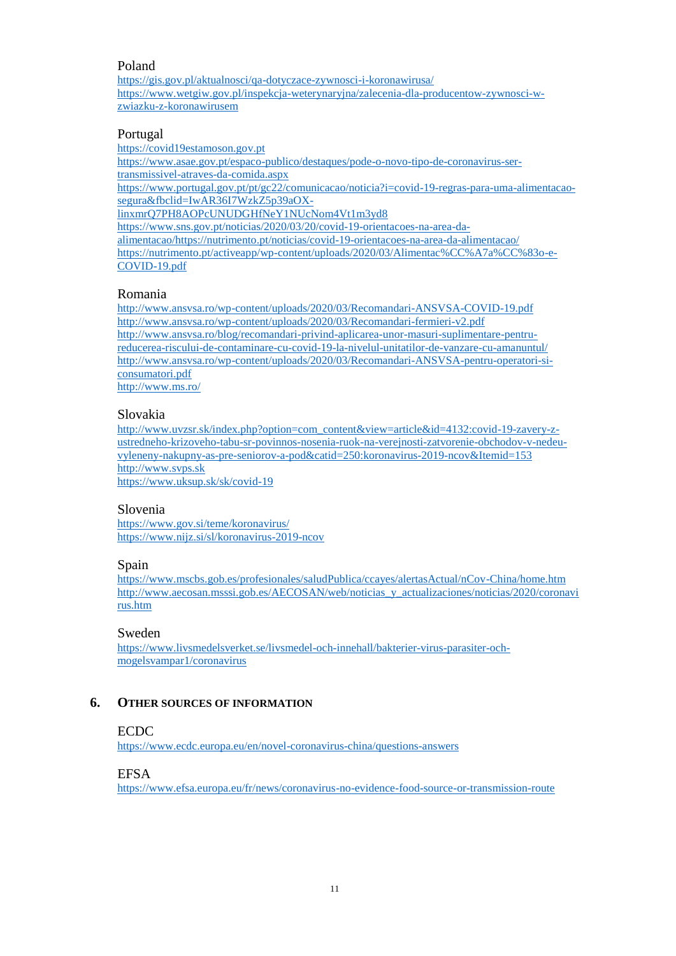# Poland

[https://gis.gov.pl/aktualnosci/qa-dotyczace-zywnosci-i-koronawirusa/](https://urldefense.com/v3/__https:/gis.gov.pl/aktualnosci/qa-dotyczace-zywnosci-i-koronawirusa/__;!!DOxrgLBm!TJKTwW7TC7z3qIaogzyb222lFElwDr2iIiBZtoxRt4TXI6uBuibRxjl1XjMe_0UVN_mQdps$) [https://www.wetgiw.gov.pl/inspekcja-weterynaryjna/zalecenia-dla-producentow-zywnosci-w](https://urldefense.com/v3/__https:/www.wetgiw.gov.pl/inspekcja-weterynaryjna/zalecenia-dla-producentow-zywnosci-w-zwiazku-z-koronawirusem__;!!DOxrgLBm!TJKTwW7TC7z3qIaogzyb222lFElwDr2iIiBZtoxRt4TXI6uBuibRxjl1XjMe_0UVdR__FvE$)[zwiazku-z-koronawirusem](https://urldefense.com/v3/__https:/www.wetgiw.gov.pl/inspekcja-weterynaryjna/zalecenia-dla-producentow-zywnosci-w-zwiazku-z-koronawirusem__;!!DOxrgLBm!TJKTwW7TC7z3qIaogzyb222lFElwDr2iIiBZtoxRt4TXI6uBuibRxjl1XjMe_0UVdR__FvE$)

## Portugal

[https://covid19estamoson.gov.pt](https://urldefense.com/v3/__https:/covid19estamoson.gov.pt__;!!DOxrgLBm!QmoVkw0nx4uOmraEA8SRezlKv6NeGv1gcRI7KtfYH7EaX8Z2uZTv5yDS8Li7iS_y3pyk0aE$) [https://www.asae.gov.pt/espaco-publico/destaques/pode-o-novo-tipo-de-coronavirus-ser](https://urldefense.com/v3/__https:/www.asae.gov.pt/espaco-publico/destaques/pode-o-novo-tipo-de-coronavirus-ser-transmissivel-atraves-da-comida.aspx__;!!DOxrgLBm!QmoVkw0nx4uOmraEA8SRezlKv6NeGv1gcRI7KtfYH7EaX8Z2uZTv5yDS8Li7iS_yLxh0_MI$)[transmissivel-atraves-da-comida.aspx](https://urldefense.com/v3/__https:/www.asae.gov.pt/espaco-publico/destaques/pode-o-novo-tipo-de-coronavirus-ser-transmissivel-atraves-da-comida.aspx__;!!DOxrgLBm!QmoVkw0nx4uOmraEA8SRezlKv6NeGv1gcRI7KtfYH7EaX8Z2uZTv5yDS8Li7iS_yLxh0_MI$) [https://www.portugal.gov.pt/pt/gc22/comunicacao/noticia?i=covid-19-regras-para-uma-alimentacao](https://urldefense.com/v3/__https:/www.portugal.gov.pt/pt/gc22/comunicacao/noticia?i=covid-19-regras-para-uma-alimentacao-segura&fbclid=IwAR36I7WzkZ5p39aOX-linxmrQ7PH8AOPcUNUDGHfNeY1NUcNom4Vt1m3yd8__;!!DOxrgLBm!QmoVkw0nx4uOmraEA8SRezlKv6NeGv1gcRI7KtfYH7EaX8Z2uZTv5yDS8Li7iS_y3lIce4Y$)[segura&fbclid=IwAR36I7WzkZ5p39aOX](https://urldefense.com/v3/__https:/www.portugal.gov.pt/pt/gc22/comunicacao/noticia?i=covid-19-regras-para-uma-alimentacao-segura&fbclid=IwAR36I7WzkZ5p39aOX-linxmrQ7PH8AOPcUNUDGHfNeY1NUcNom4Vt1m3yd8__;!!DOxrgLBm!QmoVkw0nx4uOmraEA8SRezlKv6NeGv1gcRI7KtfYH7EaX8Z2uZTv5yDS8Li7iS_y3lIce4Y$)[linxmrQ7PH8AOPcUNUDGHfNeY1NUcNom4Vt1m3yd8](https://urldefense.com/v3/__https:/www.portugal.gov.pt/pt/gc22/comunicacao/noticia?i=covid-19-regras-para-uma-alimentacao-segura&fbclid=IwAR36I7WzkZ5p39aOX-linxmrQ7PH8AOPcUNUDGHfNeY1NUcNom4Vt1m3yd8__;!!DOxrgLBm!QmoVkw0nx4uOmraEA8SRezlKv6NeGv1gcRI7KtfYH7EaX8Z2uZTv5yDS8Li7iS_y3lIce4Y$) [https://www.sns.gov.pt/noticias/2020/03/20/covid-19-orientacoes-na-area-da](https://urldefense.com/v3/__https:/www.sns.gov.pt/noticias/2020/03/20/covid-19-orientacoes-na-area-da-alimentacao/__;!!DOxrgLBm!QmoVkw0nx4uOmraEA8SRezlKv6NeGv1gcRI7KtfYH7EaX8Z2uZTv5yDS8Li7iS_yBBbAJko$)[alimentacao/](https://urldefense.com/v3/__https:/www.sns.gov.pt/noticias/2020/03/20/covid-19-orientacoes-na-area-da-alimentacao/__;!!DOxrgLBm!QmoVkw0nx4uOmraEA8SRezlKv6NeGv1gcRI7KtfYH7EaX8Z2uZTv5yDS8Li7iS_yBBbAJko$)<https://nutrimento.pt/noticias/covid-19-orientacoes-na-area-da-alimentacao/> [https://nutrimento.pt/activeapp/wp-content/uploads/2020/03/Alimentac%CC%A7a%CC%83o-e-](https://nutrimento.pt/activeapp/wp-content/uploads/2020/03/Alimentac%CC%A7a%CC%83o-e-COVID-19.pdf)[COVID-19.pdf](https://nutrimento.pt/activeapp/wp-content/uploads/2020/03/Alimentac%CC%A7a%CC%83o-e-COVID-19.pdf)

#### Romania

[http://www.ansvsa.ro/wp-content/uploads/2020/03/Recomandari-ANSVSA-COVID-19.pdf](https://urldefense.com/v3/__http:/www.ansvsa.ro/wp-content/uploads/2020/03/Recomandari-ANSVSA-COVID-19.pdf__;!!DOxrgLBm!UGdXxK84jpMstz-fiwRUZ7gW7EhDE_q8OZpT5ZRv6Q6x1bdNfhM_JgnL5LKHKXrSVyPiy5E$) [http://www.ansvsa.ro/wp-content/uploads/2020/03/Recomandari-fermieri-v2.pdf](https://urldefense.com/v3/__http:/www.ansvsa.ro/wp-content/uploads/2020/03/Recomandari-fermieri-v2.pdf__;!!DOxrgLBm!UGdXxK84jpMstz-fiwRUZ7gW7EhDE_q8OZpT5ZRv6Q6x1bdNfhM_JgnL5LKHKXrSzhv7gV8$) [http://www.ansvsa.ro/blog/recomandari-privind-aplicarea-unor-masuri-suplimentare-pentru](https://urldefense.com/v3/__http:/www.ansvsa.ro/blog/recomandari-privind-aplicarea-unor-masuri-suplimentare-pentru-reducerea-riscului-de-contaminare-cu-covid-19-la-nivelul-unitatilor-de-vanzare-cu-amanuntul/__;!!DOxrgLBm!UGdXxK84jpMstz-fiwRUZ7gW7EhDE_q8OZpT5ZRv6Q6x1bdNfhM_JgnL5LKHKXrSciTBtj8$)[reducerea-riscului-de-contaminare-cu-covid-19-la-nivelul-unitatilor-de-vanzare-cu-amanuntul/](https://urldefense.com/v3/__http:/www.ansvsa.ro/blog/recomandari-privind-aplicarea-unor-masuri-suplimentare-pentru-reducerea-riscului-de-contaminare-cu-covid-19-la-nivelul-unitatilor-de-vanzare-cu-amanuntul/__;!!DOxrgLBm!UGdXxK84jpMstz-fiwRUZ7gW7EhDE_q8OZpT5ZRv6Q6x1bdNfhM_JgnL5LKHKXrSciTBtj8$) [http://www.ansvsa.ro/wp-content/uploads/2020/03/Recomandari-ANSVSA-pentru-operatori-si](https://urldefense.com/v3/__http:/www.ansvsa.ro/wp-content/uploads/2020/03/Recomandari-ANSVSA-pentru-operatori-si-consumatori.pdf__;!!DOxrgLBm!UGdXxK84jpMstz-fiwRUZ7gW7EhDE_q8OZpT5ZRv6Q6x1bdNfhM_JgnL5LKHKXrSwh2KS40$)[consumatori.pdf](https://urldefense.com/v3/__http:/www.ansvsa.ro/wp-content/uploads/2020/03/Recomandari-ANSVSA-pentru-operatori-si-consumatori.pdf__;!!DOxrgLBm!UGdXxK84jpMstz-fiwRUZ7gW7EhDE_q8OZpT5ZRv6Q6x1bdNfhM_JgnL5LKHKXrSwh2KS40$)

[http://www.ms.ro/](https://urldefense.com/v3/__http:/www.ms.ro/__;!!DOxrgLBm!UGdXxK84jpMstz-fiwRUZ7gW7EhDE_q8OZpT5ZRv6Q6x1bdNfhM_JgnL5LKHKXrSCFftJak$)

#### Slovakia

[http://www.uvzsr.sk/index.php?option=com\\_content&view=article&id=4132:covid-19-zavery-z](http://www.uvzsr.sk/index.php?option=com_content&view=article&id=4132:covid-19-zavery-z-ustredneho-krizoveho-tabu-sr-povinnos-nosenia-ruok-na-verejnosti-zatvorenie-obchodov-v-nedeu-vyleneny-nakupny-as-pre-seniorov-a-pod&catid=250:koronavirus-2019-ncov&Itemid=153)[ustredneho-krizoveho-tabu-sr-povinnos-nosenia-ruok-na-verejnosti-zatvorenie-obchodov-v-nedeu](http://www.uvzsr.sk/index.php?option=com_content&view=article&id=4132:covid-19-zavery-z-ustredneho-krizoveho-tabu-sr-povinnos-nosenia-ruok-na-verejnosti-zatvorenie-obchodov-v-nedeu-vyleneny-nakupny-as-pre-seniorov-a-pod&catid=250:koronavirus-2019-ncov&Itemid=153)[vyleneny-nakupny-as-pre-seniorov-a-pod&catid=250:koronavirus-2019-ncov&Itemid=153](http://www.uvzsr.sk/index.php?option=com_content&view=article&id=4132:covid-19-zavery-z-ustredneho-krizoveho-tabu-sr-povinnos-nosenia-ruok-na-verejnosti-zatvorenie-obchodov-v-nedeu-vyleneny-nakupny-as-pre-seniorov-a-pod&catid=250:koronavirus-2019-ncov&Itemid=153) [http://www.svps.sk](http://www.svps.sk/) <https://www.uksup.sk/sk/covid-19>

#### Slovenia

<https://www.gov.si/teme/koronavirus/> <https://www.nijz.si/sl/koronavirus-2019-ncov>

## Spain

[https://www.mscbs.gob.es/profesionales/saludPublica/ccayes/alertasActual/nCov-China/home.htm](https://urldefense.com/v3/__https:/www.mscbs.gob.es/profesionales/saludPublica/ccayes/alertasActual/nCov-China/home.htm__;!!DOxrgLBm!TkzdEx_9ZTpqqEwYOgeBMDJeVfc85ysJuNbZqo4tw7KPav1zdZ73GWSkOL5VxkaHzW3lwVk$) [http://www.aecosan.msssi.gob.es/AECOSAN/web/noticias\\_y\\_actualizaciones/noticias/2020/coronavi](https://urldefense.com/v3/__http:/www.aecosan.msssi.gob.es/AECOSAN/web/noticias_y_actualizaciones/noticias/2020/coronavirus.htm__;!!DOxrgLBm!TkzdEx_9ZTpqqEwYOgeBMDJeVfc85ysJuNbZqo4tw7KPav1zdZ73GWSkOL5VxkaHXg3E2_4$) [rus.htm](https://urldefense.com/v3/__http:/www.aecosan.msssi.gob.es/AECOSAN/web/noticias_y_actualizaciones/noticias/2020/coronavirus.htm__;!!DOxrgLBm!TkzdEx_9ZTpqqEwYOgeBMDJeVfc85ysJuNbZqo4tw7KPav1zdZ73GWSkOL5VxkaHXg3E2_4$)

#### Sweden

[https://www.livsmedelsverket.se/livsmedel-och-innehall/bakterier-virus-parasiter-och](https://urldefense.com/v3/__https:/www.livsmedelsverket.se/livsmedel-och-innehall/bakterier-virus-parasiter-och-mogelsvampar1/coronavirus__;!!DOxrgLBm!S4qwh0fUYK6tjta1cbpI0blrgBvh2epdt-KzPTTAkwegHXnON6Cx-IYdQKxB7vdDf52XCRA$)[mogelsvampar1/coronavirus](https://urldefense.com/v3/__https:/www.livsmedelsverket.se/livsmedel-och-innehall/bakterier-virus-parasiter-och-mogelsvampar1/coronavirus__;!!DOxrgLBm!S4qwh0fUYK6tjta1cbpI0blrgBvh2epdt-KzPTTAkwegHXnON6Cx-IYdQKxB7vdDf52XCRA$)

# <span id="page-10-0"></span>**6. OTHER SOURCES OF INFORMATION**

## ECDC

<https://www.ecdc.europa.eu/en/novel-coronavirus-china/questions-answers>

#### EFSA

<https://www.efsa.europa.eu/fr/news/coronavirus-no-evidence-food-source-or-transmission-route>